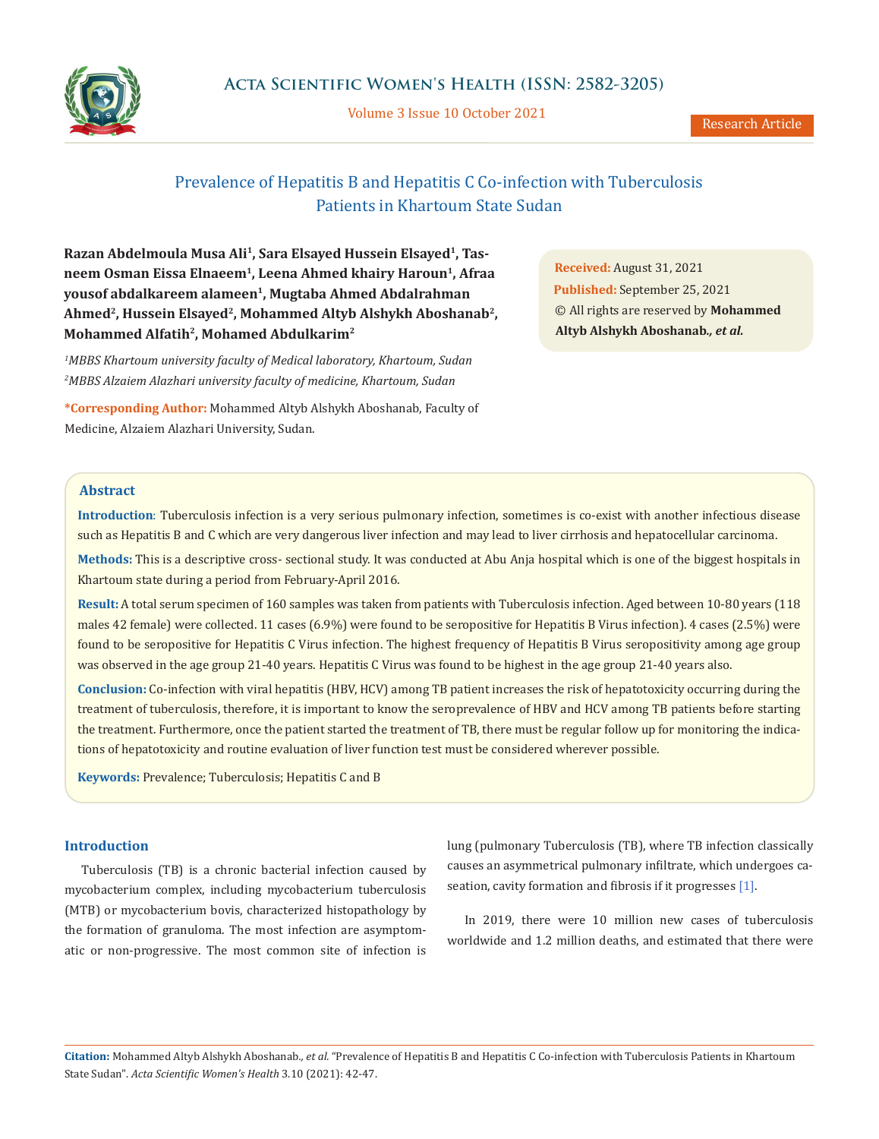

Volume 3 Issue 10 October 2021

# Prevalence of Hepatitis B and Hepatitis C Co-infection with Tuberculosis Patients in Khartoum State Sudan

Razan Abdelmoula Musa Ali<sup>1</sup>, Sara Elsayed Hussein Elsayed<sup>1</sup>, Tas**neem Osman Eissa Elnaeem1, Leena Ahmed khairy Haroun1, Afraa yousof abdalkareem alameen1, Mugtaba Ahmed Abdalrahman Ahmed2, Hussein Elsayed2, Mohammed Altyb Alshykh Aboshanab2, Mohammed Alfatih2, Mohamed Abdulkarim2**

<sup>1</sup>MBBS Khartoum university faculty of Medical laboratory, Khartoum, Sudan *2 MBBS Alzaiem Alazhari university faculty of medicine, Khartoum, Sudan*

**\*Corresponding Author:** Mohammed Altyb Alshykh Aboshanab, Faculty of Medicine, Alzaiem Alazhari University, Sudan.

**Received:** August 31, 2021 **Published:** September 25, 2021 © All rights are reserved by **Mohammed Altyb Alshykh Aboshanab***., et al.*

## **Abstract**

**Introduction**: Tuberculosis infection is a very serious pulmonary infection, sometimes is co-exist with another infectious disease such as Hepatitis B and C which are very dangerous liver infection and may lead to liver cirrhosis and hepatocellular carcinoma.

**Methods:** This is a descriptive cross- sectional study. It was conducted at Abu Anja hospital which is one of the biggest hospitals in Khartoum state during a period from February-April 2016.

**Result:** A total serum specimen of 160 samples was taken from patients with Tuberculosis infection. Aged between 10-80 years (118 males 42 female) were collected. 11 cases (6.9%) were found to be seropositive for Hepatitis B Virus infection). 4 cases (2.5%) were found to be seropositive for Hepatitis C Virus infection. The highest frequency of Hepatitis B Virus seropositivity among age group was observed in the age group 21-40 years. Hepatitis C Virus was found to be highest in the age group 21-40 years also.

**Conclusion:** Co-infection with viral hepatitis (HBV, HCV) among TB patient increases the risk of hepatotoxicity occurring during the treatment of tuberculosis, therefore, it is important to know the seroprevalence of HBV and HCV among TB patients before starting the treatment. Furthermore, once the patient started the treatment of TB, there must be regular follow up for monitoring the indications of hepatotoxicity and routine evaluation of liver function test must be considered wherever possible.

**Keywords:** Prevalence; Tuberculosis; Hepatitis C and B

## **Introduction**

Tuberculosis (TB) is a chronic bacterial infection caused by mycobacterium complex, including mycobacterium tuberculosis (MTB) or mycobacterium bovis, characterized histopathology by the formation of granuloma. The most infection are asymptomatic or non-progressive. The most common site of infection is lung (pulmonary Tuberculosis (TB), where TB infection classically causes an asymmetrical pulmonary infiltrate, which undergoes caseation, cavity formation and fibrosis if it progresses [1].

In 2019, there were 10 million new cases of tuberculosis worldwide and 1.2 million deaths, and estimated that there were

**Citation:** Mohammed Altyb Alshykh Aboshanab*., et al.* "Prevalence of Hepatitis B and Hepatitis C Co-infection with Tuberculosis Patients in Khartoum State Sudan". *Acta Scientific Women's Health* 3.10 (2021): 42-47.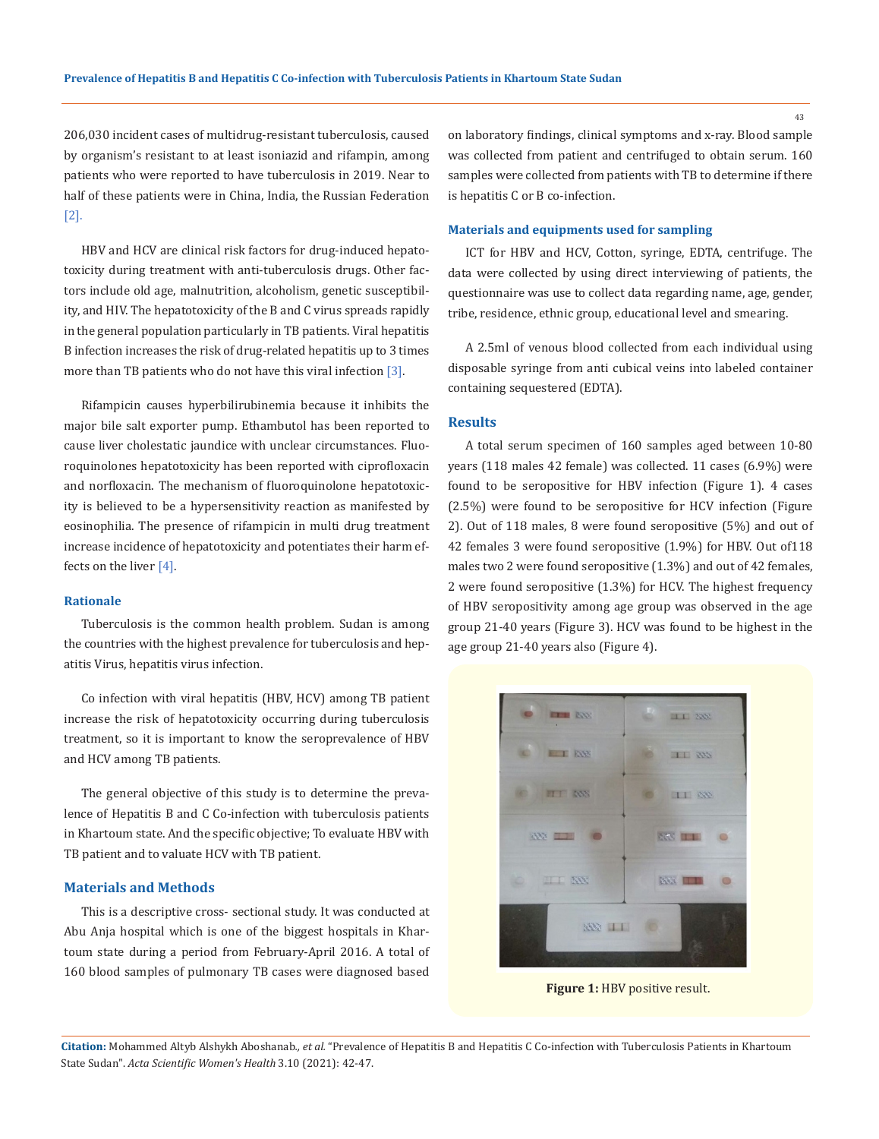206,030 incident cases of multidrug-resistant tuberculosis, caused by organism's resistant to at least isoniazid and rifampin, among patients who were reported to have tuberculosis in 2019. Near to half of these patients were in China, India, the Russian Federation [2].

HBV and HCV are clinical risk factors for drug-induced hepatotoxicity during treatment with anti-tuberculosis drugs. Other factors include old age, malnutrition, alcoholism, genetic susceptibility, and HIV. The hepatotoxicity of the B and C virus spreads rapidly in the general population particularly in TB patients. Viral hepatitis B infection increases the risk of drug-related hepatitis up to 3 times more than TB patients who do not have this viral infection [3].

Rifampicin causes hyperbilirubinemia because it inhibits the major bile salt exporter pump. Ethambutol has been reported to cause liver cholestatic jaundice with unclear circumstances. Fluoroquinolones hepatotoxicity has been reported with ciprofloxacin and norfloxacin. The mechanism of fluoroquinolone hepatotoxicity is believed to be a hypersensitivity reaction as manifested by eosinophilia. The presence of rifampicin in multi drug treatment increase incidence of hepatotoxicity and potentiates their harm effects on the liver [4].

#### **Rationale**

Tuberculosis is the common health problem. Sudan is among the countries with the highest prevalence for tuberculosis and hepatitis Virus, hepatitis virus infection.

Co infection with viral hepatitis (HBV, HCV) among TB patient increase the risk of hepatotoxicity occurring during tuberculosis treatment, so it is important to know the seroprevalence of HBV and HCV among TB patients.

The general objective of this study is to determine the prevalence of Hepatitis B and C Co-infection with tuberculosis patients in Khartoum state. And the specific objective; To evaluate HBV with TB patient and to valuate HCV with TB patient.

#### **Materials and Methods**

This is a descriptive cross- sectional study. It was conducted at Abu Anja hospital which is one of the biggest hospitals in Khartoum state during a period from February-April 2016. A total of 160 blood samples of pulmonary TB cases were diagnosed based

on laboratory findings, clinical symptoms and x-ray. Blood sample was collected from patient and centrifuged to obtain serum. 160 samples were collected from patients with TB to determine if there is hepatitis C or B co-infection.

#### **Materials and equipments used for sampling**

ICT for HBV and HCV, Cotton, syringe, EDTA, centrifuge. The data were collected by using direct interviewing of patients, the questionnaire was use to collect data regarding name, age, gender, tribe, residence, ethnic group, educational level and smearing.

A 2.5ml of venous blood collected from each individual using disposable syringe from anti cubical veins into labeled container containing sequestered (EDTA).

#### **Results**

A total serum specimen of 160 samples aged between 10-80 years (118 males 42 female) was collected. 11 cases (6.9%) were found to be seropositive for HBV infection (Figure 1). 4 cases (2.5%) were found to be seropositive for HCV infection (Figure 2). Out of 118 males, 8 were found seropositive (5%) and out of 42 females 3 were found seropositive (1.9%) for HBV. Out of118 males two 2 were found seropositive (1.3%) and out of 42 females, 2 were found seropositive (1.3%) for HCV. The highest frequency of HBV seropositivity among age group was observed in the age group 21-40 years (Figure 3). HCV was found to be highest in the age group 21-40 years also (Figure 4).



**Figure 1:** HBV positive result.

43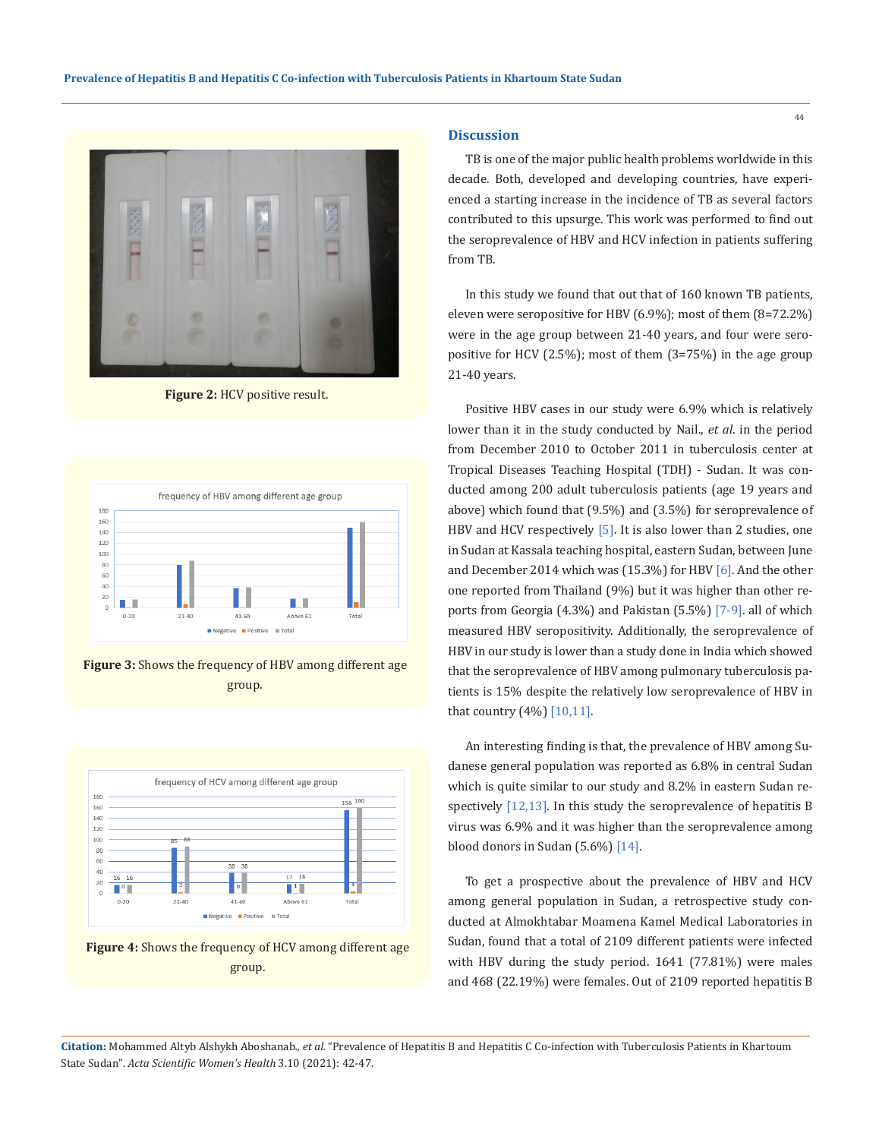

**Figure 2:** HCV positive result.



**Figure 3:** Shows the frequency of HBV among different age group.



**Figure 4:** Shows the frequency of HCV among different age group.

#### **Discussion**

TB is one of the major public health problems worldwide in this decade. Both, developed and developing countries, have experienced a starting increase in the incidence of TB as several factors contributed to this upsurge. This work was performed to find out the seroprevalence of HBV and HCV infection in patients suffering from TB.

In this study we found that out that of 160 known TB patients, eleven were seropositive for HBV (6.9%); most of them (8=72.2%) were in the age group between 21-40 years, and four were seropositive for HCV (2.5%); most of them (3=75%) in the age group 21-40 years.

Positive HBV cases in our study were 6.9% which is relatively lower than it in the study conducted by Nail., *et al*. in the period from December 2010 to October 2011 in tuberculosis center at Tropical Diseases Teaching Hospital (TDH) - Sudan. It was conducted among 200 adult tuberculosis patients (age 19 years and above) which found that (9.5%) and (3.5%) for seroprevalence of HBV and HCV respectively [5]. It is also lower than 2 studies, one in Sudan at Kassala teaching hospital, eastern Sudan, between June and December 2014 which was (15.3%) for HBV [6]. And the other one reported from Thailand (9%) but it was higher than other reports from Georgia (4.3%) and Pakistan (5.5%) [7-9]. all of which measured HBV seropositivity. Additionally, the seroprevalence of HBV in our study is lower than a study done in India which showed that the seroprevalence of HBV among pulmonary tuberculosis patients is 15% despite the relatively low seroprevalence of HBV in that country (4%) [10,11].

An interesting finding is that, the prevalence of HBV among Sudanese general population was reported as 6.8% in central Sudan which is quite similar to our study and 8.2% in eastern Sudan respectively [12,13]. In this study the seroprevalence of hepatitis B virus was 6.9% and it was higher than the seroprevalence among blood donors in Sudan (5.6%) [14].

To get a prospective about the prevalence of HBV and HCV among general population in Sudan, a retrospective study conducted at Almokhtabar Moamena Kamel Medical Laboratories in Sudan, found that a total of 2109 different patients were infected with HBV during the study period. 1641 (77.81%) were males and 468 (22.19%) were females. Out of 2109 reported hepatitis B

**Citation:** Mohammed Altyb Alshykh Aboshanab*., et al.* "Prevalence of Hepatitis B and Hepatitis C Co-infection with Tuberculosis Patients in Khartoum State Sudan". *Acta Scientific Women's Health* 3.10 (2021): 42-47.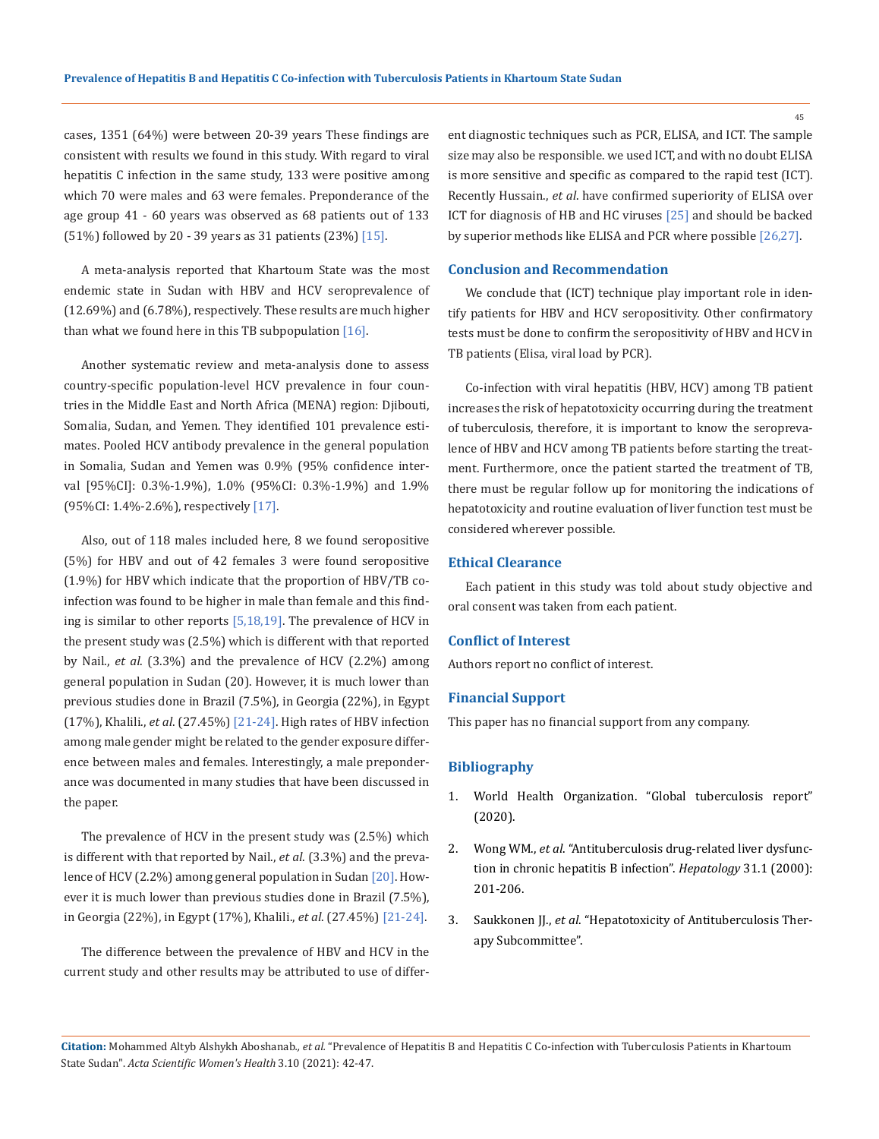cases, 1351 (64%) were between 20-39 years These findings are consistent with results we found in this study. With regard to viral hepatitis C infection in the same study, 133 were positive among which 70 were males and 63 were females. Preponderance of the age group 41 - 60 years was observed as 68 patients out of 133 (51%) followed by 20 - 39 years as 31 patients (23%) [15].

A meta-analysis reported that Khartoum State was the most endemic state in Sudan with HBV and HCV seroprevalence of (12.69%) and (6.78%), respectively. These results are much higher than what we found here in this TB subpopulation  $[16]$ .

Another systematic review and meta-analysis done to assess country-specific population-level HCV prevalence in four countries in the Middle East and North Africa (MENA) region: Djibouti, Somalia, Sudan, and Yemen. They identified 101 prevalence estimates. Pooled HCV antibody prevalence in the general population in Somalia, Sudan and Yemen was 0.9% (95% confidence interval [95%CI]: 0.3%-1.9%), 1.0% (95%CI: 0.3%-1.9%) and 1.9% (95%CI: 1.4%-2.6%), respectively [17].

Also, out of 118 males included here, 8 we found seropositive (5%) for HBV and out of 42 females 3 were found seropositive (1.9%) for HBV which indicate that the proportion of HBV/TB coinfection was found to be higher in male than female and this finding is similar to other reports [5,18,19]. The prevalence of HCV in the present study was (2.5%) which is different with that reported by Nail., *et al*. (3.3%) and the prevalence of HCV (2.2%) among general population in Sudan (20). However, it is much lower than previous studies done in Brazil (7.5%), in Georgia (22%), in Egypt (17%), Khalili., *et al*. (27.45%) [21-24]. High rates of HBV infection among male gender might be related to the gender exposure difference between males and females. Interestingly, a male preponderance was documented in many studies that have been discussed in the paper.

The prevalence of HCV in the present study was (2.5%) which is different with that reported by Nail., *et al*. (3.3%) and the prevalence of HCV (2.2%) among general population in Sudan [20]. However it is much lower than previous studies done in Brazil (7.5%), in Georgia (22%), in Egypt (17%), Khalili., *et al*. (27.45%) [21-24].

The difference between the prevalence of HBV and HCV in the current study and other results may be attributed to use of different diagnostic techniques such as PCR, ELISA, and ICT. The sample size may also be responsible. we used ICT, and with no doubt ELISA is more sensitive and specific as compared to the rapid test (ICT). Recently Hussain., *et al*. have confirmed superiority of ELISA over ICT for diagnosis of HB and HC viruses [25] and should be backed by superior methods like ELISA and PCR where possible [26,27].

## **Conclusion and Recommendation**

We conclude that (ICT) technique play important role in identify patients for HBV and HCV seropositivity. Other confirmatory tests must be done to confirm the seropositivity of HBV and HCV in TB patients (Elisa, viral load by PCR).

Co-infection with viral hepatitis (HBV, HCV) among TB patient increases the risk of hepatotoxicity occurring during the treatment of tuberculosis, therefore, it is important to know the seroprevalence of HBV and HCV among TB patients before starting the treatment. Furthermore, once the patient started the treatment of TB, there must be regular follow up for monitoring the indications of hepatotoxicity and routine evaluation of liver function test must be considered wherever possible.

## **Ethical Clearance**

Each patient in this study was told about study objective and oral consent was taken from each patient.

#### **Conflict of Interest**

Authors report no conflict of interest.

#### **Financial Support**

This paper has no financial support from any company.

#### **Bibliography**

- 1. [World Health Organization. "Global tuberculosis report"](http://who.int/tb/publications/global_report/en/)  [\(2020\).](http://who.int/tb/publications/global_report/en/)
- 2. Wong WM., *et al*[. "Antituberculosis drug-related liver dysfunc](https://pubmed.ncbi.nlm.nih.gov/10613746/)[tion in chronic hepatitis B infection".](https://pubmed.ncbi.nlm.nih.gov/10613746/) *Hepatology* 31.1 (2000): [201-206.](https://pubmed.ncbi.nlm.nih.gov/10613746/)
- 3. Saukkonen JJ., *et al*[. "Hepatotoxicity of Antituberculosis Ther](https://www.thoracic.org/statements/resources/mtpi/hepatotoxicity-of-antituberculosis-therapy.pdf)[apy Subcommittee".](https://www.thoracic.org/statements/resources/mtpi/hepatotoxicity-of-antituberculosis-therapy.pdf)

45

**Citation:** Mohammed Altyb Alshykh Aboshanab*., et al.* "Prevalence of Hepatitis B and Hepatitis C Co-infection with Tuberculosis Patients in Khartoum State Sudan". *Acta Scientific Women's Health* 3.10 (2021): 42-47.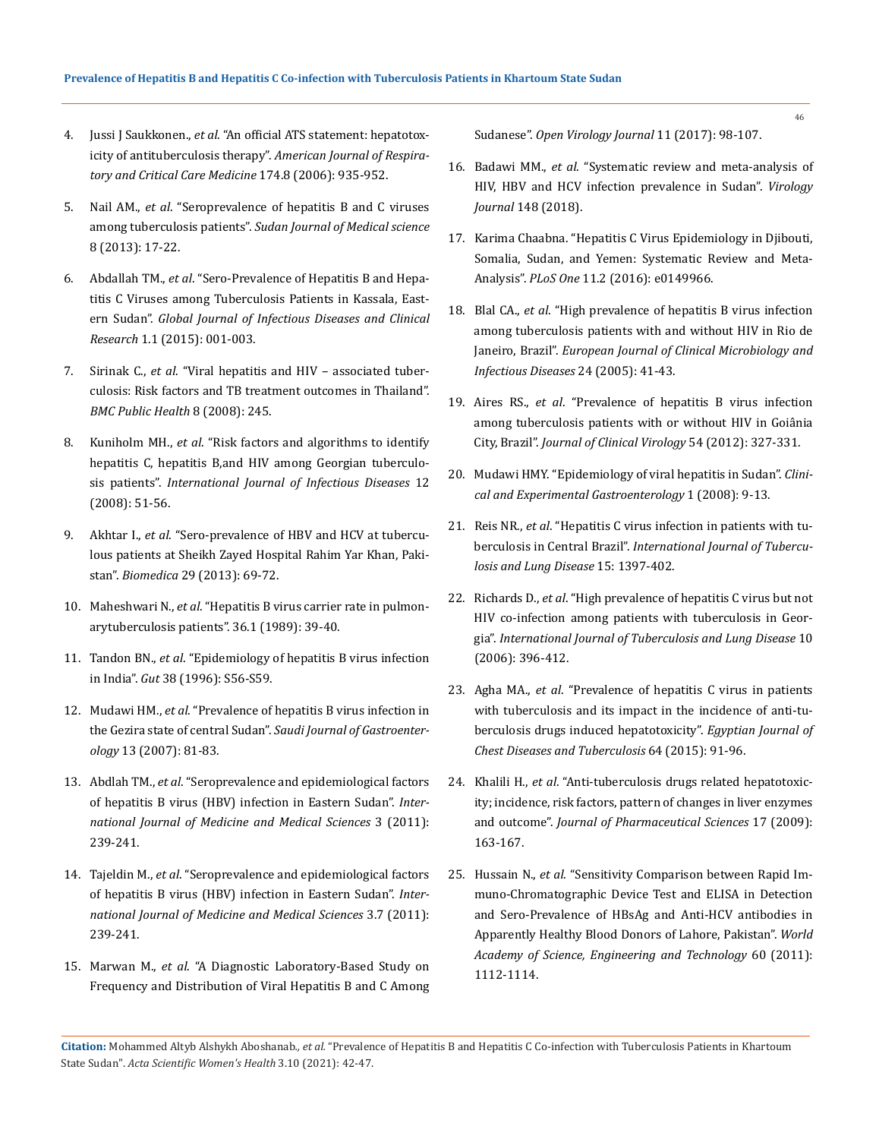- 4. Jussi J Saukkonen., *et al*[. "An official ATS statement: hepatotox](https://pubmed.ncbi.nlm.nih.gov/17021358/)icity of antituberculosis therapy". *[American Journal of Respira](https://pubmed.ncbi.nlm.nih.gov/17021358/)[tory and Critical Care Medicine](https://pubmed.ncbi.nlm.nih.gov/17021358/)* 174.8 (2006): 935-952.
- 5. Nail AM., *et al*[. "Seroprevalence of hepatitis B and C viruses](https://www.ajol.info/index.php/sjms/article/view/101933)  among tuberculosis patients". *[Sudan Journal of Medical science](https://www.ajol.info/index.php/sjms/article/view/101933)* [8 \(2013\): 17-22.](https://www.ajol.info/index.php/sjms/article/view/101933)
- 6. Abdallah TM., *et al*[. "Sero-Prevalence of Hepatitis B and Hepa](https://www.peertechzpublications.com/Infectious-Diseases/GJIDCR-1-101.php)[titis C Viruses among Tuberculosis Patients in Kassala, East](https://www.peertechzpublications.com/Infectious-Diseases/GJIDCR-1-101.php)ern Sudan". *[Global Journal of Infectious Diseases and Clinical](https://www.peertechzpublications.com/Infectious-Diseases/GJIDCR-1-101.php)  Research* [1.1 \(2015\): 001-003.](https://www.peertechzpublications.com/Infectious-Diseases/GJIDCR-1-101.php)
- 7. Sirinak C., *et al*[. "Viral hepatitis and HIV associated tuber](https://bmcpublichealth.biomedcentral.com/articles/10.1186/1471-2458-8-245)[culosis: Risk factors and TB treatment outcomes in Thailand".](https://bmcpublichealth.biomedcentral.com/articles/10.1186/1471-2458-8-245)  *[BMC Public Health](https://bmcpublichealth.biomedcentral.com/articles/10.1186/1471-2458-8-245)* 8 (2008): 245.
- 8. Kuniholm MH., *et al*[. "Risk factors and algorithms to identify](https://www.sciencedirect.com/science/article/pii/S1201971207001014)  [hepatitis C, hepatitis B,and HIV among Georgian tuberculo](https://www.sciencedirect.com/science/article/pii/S1201971207001014)sis patients". *[International Journal of Infectious Diseases](https://www.sciencedirect.com/science/article/pii/S1201971207001014)* 12 [\(2008\): 51-56.](https://www.sciencedirect.com/science/article/pii/S1201971207001014)
- 9. Akhtar I., *et al*[. "Sero-prevalence of HBV and HCV at tubercu](https://www.researchgate.net/publication/258318992_SERO-PREVALENCE_OF_HBV_AND_HCV_IN_TUBERCULOUS_PATIENTS_AT_SHEIKH_ZAYED_HOSPITAL_RAHIM_YAR_KHAN_PAKISTAN)[lous patients at Sheikh Zayed Hospital Rahim Yar Khan, Paki](https://www.researchgate.net/publication/258318992_SERO-PREVALENCE_OF_HBV_AND_HCV_IN_TUBERCULOUS_PATIENTS_AT_SHEIKH_ZAYED_HOSPITAL_RAHIM_YAR_KHAN_PAKISTAN)stan". *Biomedica* [29 \(2013\): 69-72.](https://www.researchgate.net/publication/258318992_SERO-PREVALENCE_OF_HBV_AND_HCV_IN_TUBERCULOUS_PATIENTS_AT_SHEIKH_ZAYED_HOSPITAL_RAHIM_YAR_KHAN_PAKISTAN)
- 10. Maheshwari N., *et al*. "Hepatitis B virus carrier rate in pulmonarytuberculosis patients". 36.1 (1989): 39-40.
- 11. Tandon BN., *et al*[. "Epidemiology of hepatitis B virus infection](https://www.ncbi.nlm.nih.gov/pmc/articles/PMC1398036/)  in India". *Gut* [38 \(1996\): S56-S59.](https://www.ncbi.nlm.nih.gov/pmc/articles/PMC1398036/)
- 12. Mudawi HM., *et al*[. "Prevalence of hepatitis B virus infection in](https://www.researchgate.net/publication/38037940_Prevalence_of_hepatitis_B_virus_infection_in_the_Gezira_State_of_Central_Sudan)  the Gezira state of central Sudan". *[Saudi Journal of Gastroenter](https://www.researchgate.net/publication/38037940_Prevalence_of_hepatitis_B_virus_infection_in_the_Gezira_State_of_Central_Sudan)ology* [13 \(2007\): 81-83.](https://www.researchgate.net/publication/38037940_Prevalence_of_hepatitis_B_virus_infection_in_the_Gezira_State_of_Central_Sudan)
- 13. Abdlah TM., *et al*[. "Seroprevalence and epidemiological factors](https://www.researchgate.net/publication/262764688_Seroprevalence_and_epidemiological_factors_of_hepatitis_B_virus_HBV_infection_in_Eastern_Sudan)  [of hepatitis B virus \(HBV\) infection in Eastern Sudan".](https://www.researchgate.net/publication/262764688_Seroprevalence_and_epidemiological_factors_of_hepatitis_B_virus_HBV_infection_in_Eastern_Sudan) *Inter[national Journal of Medicine and Medical Sciences](https://www.researchgate.net/publication/262764688_Seroprevalence_and_epidemiological_factors_of_hepatitis_B_virus_HBV_infection_in_Eastern_Sudan)* 3 (2011): [239-241.](https://www.researchgate.net/publication/262764688_Seroprevalence_and_epidemiological_factors_of_hepatitis_B_virus_HBV_infection_in_Eastern_Sudan)
- 14. Tajeldin M., *et al*[. "Seroprevalence and epidemiological factors](https://www.researchgate.net/publication/262764688_Seroprevalence_and_epidemiological_factors_of_hepatitis_B_virus_HBV_infection_in_Eastern_Sudan)  [of hepatitis B virus \(HBV\) infection in Eastern Sudan".](https://www.researchgate.net/publication/262764688_Seroprevalence_and_epidemiological_factors_of_hepatitis_B_virus_HBV_infection_in_Eastern_Sudan) *Inter[national Journal of Medicine and Medical Sciences](https://www.researchgate.net/publication/262764688_Seroprevalence_and_epidemiological_factors_of_hepatitis_B_virus_HBV_infection_in_Eastern_Sudan)* 3.7 (2011): [239-241.](https://www.researchgate.net/publication/262764688_Seroprevalence_and_epidemiological_factors_of_hepatitis_B_virus_HBV_infection_in_Eastern_Sudan)
- 15. Marwan M., *et al*[. "A Diagnostic Laboratory-Based Study on](https://www.ncbi.nlm.nih.gov/pmc/articles/PMC5769029/)  [Frequency and Distribution of Viral Hepatitis B and C Among](https://www.ncbi.nlm.nih.gov/pmc/articles/PMC5769029/)

Sudanese". *[Open Virology Journal](https://www.ncbi.nlm.nih.gov/pmc/articles/PMC5769029/)* 11 (2017): 98-107.

- 16. Badawi MM., *et al*[. "Systematic review and meta-analysis of](https://doi.org/10.1186/s12985-018-1060-1)  [HIV, HBV and HCV infection prevalence in Sudan".](https://doi.org/10.1186/s12985-018-1060-1) *Virology Journal* [148 \(2018\).](https://doi.org/10.1186/s12985-018-1060-1)
- 17. [Karima Chaabna. "Hepatitis C Virus Epidemiology in Djibouti,](https://journals.plos.org/plosone/article?id=10.1371/journal.pone.0149966)  [Somalia, Sudan, and Yemen: Systematic Review and Meta-](https://journals.plos.org/plosone/article?id=10.1371/journal.pone.0149966)Analysis". *PLoS One* [11.2 \(2016\): e0149966.](https://journals.plos.org/plosone/article?id=10.1371/journal.pone.0149966)
- 18. Blal CA., *et al*[. "High prevalence of hepatitis B virus infection](https://pubmed.ncbi.nlm.nih.gov/15616838/)  [among tuberculosis patients with and without HIV in Rio de](https://pubmed.ncbi.nlm.nih.gov/15616838/)  Janeiro, Brazil". *[European Journal of Clinical Microbiology and](https://pubmed.ncbi.nlm.nih.gov/15616838/)  [Infectious Diseases](https://pubmed.ncbi.nlm.nih.gov/15616838/)* 24 (2005): 41-43.
- 19. Aires RS., *et al*[. "Prevalence of hepatitis B virus infection](https://pubmed.ncbi.nlm.nih.gov/22608842/)  [among tuberculosis patients with or without HIV in Goiânia](https://pubmed.ncbi.nlm.nih.gov/22608842/)  City, Brazil". *Journal of Clinical Virology* [54 \(2012\): 327-331.](https://pubmed.ncbi.nlm.nih.gov/22608842/)
- 20. [Mudawi HMY. "Epidemiology of viral hepatitis in Sudan".](https://pubmed.ncbi.nlm.nih.gov/21677820/) *Clini[cal and Experimental Gastroenterology](https://pubmed.ncbi.nlm.nih.gov/21677820/)* 1 (2008): 9-13.
- 21. Reis NR., *et al*[. "Hepatitis C virus infection in patients with tu](https://pubmed.ncbi.nlm.nih.gov/22283901/)berculosis in Central Brazil". *[International Journal of Tubercu](https://pubmed.ncbi.nlm.nih.gov/22283901/)[losis and Lung Disease](https://pubmed.ncbi.nlm.nih.gov/22283901/)* 15: 1397-402.
- 22. Richards D., *et al*[. "High prevalence of hepatitis C virus but not](https://pubmed.ncbi.nlm.nih.gov/16602403/)  [HIV co-infection among patients with tuberculosis in Geor](https://pubmed.ncbi.nlm.nih.gov/16602403/)gia". *[International Journal of Tuberculosis and Lung Disease](https://pubmed.ncbi.nlm.nih.gov/16602403/)* 10 [\(2006\): 396-412.](https://pubmed.ncbi.nlm.nih.gov/16602403/)
- 23. Agha MA., *et al*[. "Prevalence of hepatitis C virus in patients](https://erj.ersjournals.com/content/46/suppl_59/PA2983)  [with tuberculosis and its impact in the incidence of anti-tu](https://erj.ersjournals.com/content/46/suppl_59/PA2983)[berculosis drugs induced hepatotoxicity".](https://erj.ersjournals.com/content/46/suppl_59/PA2983) *Egyptian Journal of [Chest Diseases and Tuberculosis](https://erj.ersjournals.com/content/46/suppl_59/PA2983)* 64 (2015): 91-96.
- 24. Khalili H., *et al*[. "Anti-tuberculosis drugs related hepatotoxic](https://www.ncbi.nlm.nih.gov/pmc/articles/PMC3655990/)[ity; incidence, risk factors, pattern of changes in liver enzymes](https://www.ncbi.nlm.nih.gov/pmc/articles/PMC3655990/)  and outcome". *[Journal of Pharmaceutical Sciences](https://www.ncbi.nlm.nih.gov/pmc/articles/PMC3655990/)* 17 (2009): [163-167.](https://www.ncbi.nlm.nih.gov/pmc/articles/PMC3655990/)
- 25. Hussain N., *et al*[. "Sensitivity Comparison between Rapid Im](https://www.semanticscholar.org/paper/Sensitivity-Comparison-between-Rapid-Device-Test-in-Hussain-Aslam/59671aa1e10c9d969babedd04eabdce669a7521e)[muno-Chromatographic Device Test and ELISA in Detection](https://www.semanticscholar.org/paper/Sensitivity-Comparison-between-Rapid-Device-Test-in-Hussain-Aslam/59671aa1e10c9d969babedd04eabdce669a7521e)  [and Sero-Prevalence of HBsAg and Anti-HCV antibodies in](https://www.semanticscholar.org/paper/Sensitivity-Comparison-between-Rapid-Device-Test-in-Hussain-Aslam/59671aa1e10c9d969babedd04eabdce669a7521e)  [Apparently Healthy Blood Donors of Lahore, Pakistan".](https://www.semanticscholar.org/paper/Sensitivity-Comparison-between-Rapid-Device-Test-in-Hussain-Aslam/59671aa1e10c9d969babedd04eabdce669a7521e) *World [Academy of Science, Engineering and Technology](https://www.semanticscholar.org/paper/Sensitivity-Comparison-between-Rapid-Device-Test-in-Hussain-Aslam/59671aa1e10c9d969babedd04eabdce669a7521e)* 60 (2011): [1112-1114.](https://www.semanticscholar.org/paper/Sensitivity-Comparison-between-Rapid-Device-Test-in-Hussain-Aslam/59671aa1e10c9d969babedd04eabdce669a7521e)

**Citation:** Mohammed Altyb Alshykh Aboshanab*., et al.* "Prevalence of Hepatitis B and Hepatitis C Co-infection with Tuberculosis Patients in Khartoum State Sudan". *Acta Scientific Women's Health* 3.10 (2021): 42-47.